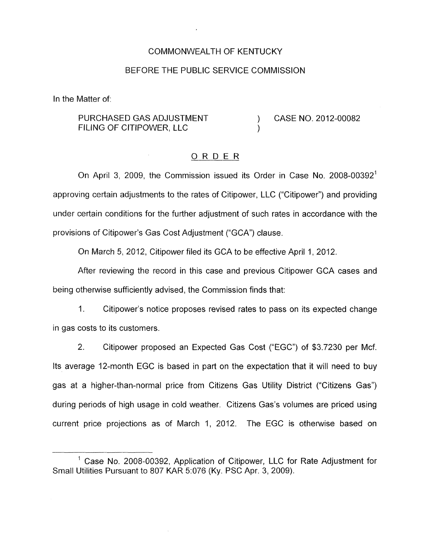#### COMMONWEALTH OF KENTUCKY

#### BEFORE THE PUBLIC SERVICE COMMISSION

In the Matter of:

### PURCHASED GAS ADJUSTMENT (2012-00082) FILING OF CITIPOWER, LLC )

#### ORDER

On April 3, 2009, the Commission issued its Order in Case No. 2008-00392' approving certain adjustments to the rates of Citipower, LLC ("Citipower") and providing under certain conditions for the further adjustment of such rates in accordance with the provisions of Citipower's Gas Cost Adjustment ("GCA") clause.

On March 5, 2012, Citipower filed its GCA to be effective April 1, 2012.

After reviewing the record in this case and previous Citipower GCA cases and being otherwise sufficiently advised, the Commission finds that:

1. Citipower's notice proposes revised rates to pass on its expected change in gas costs to its customers.

2. Citipower proposed an Expected Gas Cost ("EGC") of \$3.7230 per Mcf. Its average 12-month EGC is based in part on the expectation that it will need to buy gas at a higher-than-normal price from Citizens Gas Utility District ("Citizens Gas") during periods of high usage in cold weather. Citizens Gas's volumes are priced using current price projections as of March 1, 2012. The EGC is otherwise based on

<sup>&#</sup>x27; Case No. 2008-00392, Application of Citipower, LLC for Rate Adjustment for Small Utilities Pursuant to 807 KAR 5:076 (Ky. PSC Apr. 3, 2009).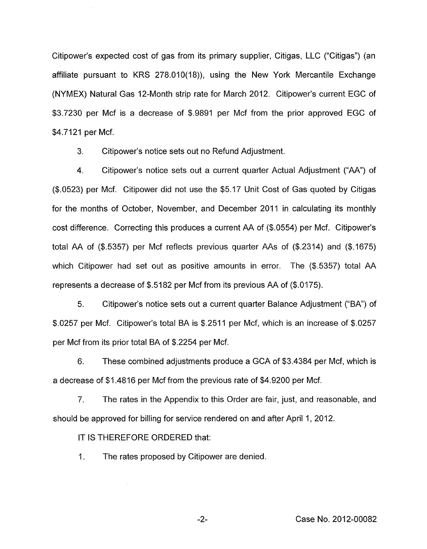Citipower's expected cost of gas from its primary supplier, Citigas, LLC ("Citigas") (an affiliate pursuant to KRS 278.010(18)), using the New York Mercantile Exchange (NYMEX) Natural Gas 12-Month strip rate for March 2012. Citipower's current EGC of \$3.7230 per Mcf is a decrease of \$.9891 per Mcf from the prior approved EGC of \$4.7121 per Mcf.

3. Citipower's notice sets out no Refund Adjustment.

4. Citipower's notice sets out a current quarter Actual Adjustment ("AA") of (\$.0523) per Mcf. Citipower did not use the \$5.17 Unit Cost of Gas quoted by Citigas for the months of October, November, and December 2011 in calculating its monthly cost difference. Correcting this produces a current AA of (\$.0554) per Mcf. Citipower's total AA of  $(\$.5357)$  per Mcf reflects previous quarter AAs of  $(\$.2314)$  and  $(\$.1675)$ which Citipower had set out as positive amounts in error. The (\$.5357) total AA represents a decrease of \$.5182 per Mcf from its previous AA of (\$.0175).

5. Citipower's notice sets out a current quarter Balance Adjustment ("BA') of \$.0257 per Mcf. Citipower's total BA is \$.2511 per Mcf, which is an increase of \$.0257 per Mcf from its prior total BA of \$.2254 per Mcf.

6. These combined adjustments produce a GCA of \$3.4384 per Mcf, which is a decrease of \$1.4816 per Mcf from the previous rate of \$4.9200 per Mcf.

7. The rates in the Appendix to this Order are fair, just, and reasonable, and should be approved for billing for service rendered on and after April 1, 2012.

IT **IS** THEREFORE ORDERED that:

1. The rates proposed by Citipower are denied.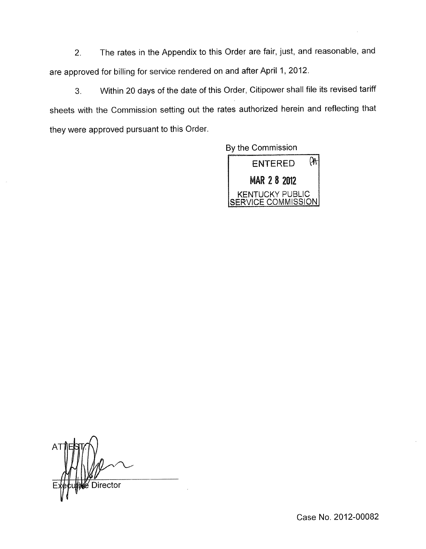2. The rates in the Appendix to this Order are fair, just, and reasonable, and are approved for billing for service rendered on and after April 1, 2012.

**3.** Within 20 days of the date of this Order, Citipower shall file its revised tariff sheets with the Commission setting out the rates authorized herein and reflecting that they were approved pursuant to this Order.

By the Commission



Director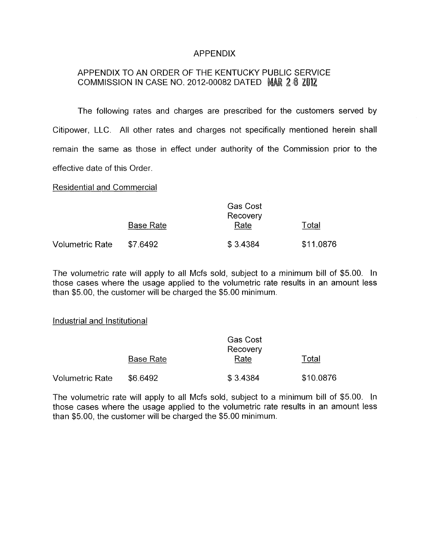## APPENDIX

# APPENDIX TO AN ORDER OF THE KENTUCKY PUBLIC SERVICE COMMISSION IN CASE NO. 2012-00082 DATED MAR  $2.8$   $2.012$

The following rates and charges are prescribed for the customers served by Citipower, LLC. All other rates and charges not specifically mentioned herein shall remain the same as those in effect under authority of the Commission prior to the effective date of this Order.

Residential and Commercial

|                 | <b>Gas Cost</b><br>Recovery |          |           |  |
|-----------------|-----------------------------|----------|-----------|--|
|                 | <b>Base Rate</b>            | Rate     | Total     |  |
| Volumetric Rate | \$7.6492                    | \$3.4384 | \$11,0876 |  |

The volumetric rate will apply to all Mcfs sold, subject to a minimum bill of \$5.00. In those cases where the usage applied to the volumetric rate results in an amount less than \$5.00, the customer will be charged the \$5.00 minimum.

#### Industrial and Institutional

|                        | <b>Gas Cost</b><br>Recovery |          |           |  |
|------------------------|-----------------------------|----------|-----------|--|
|                        | <b>Base Rate</b>            | Rate     | Total     |  |
| <b>Volumetric Rate</b> | \$6,6492                    | \$3.4384 | \$10.0876 |  |

The volumetric rate will apply to all Mcfs sold, subject to a minimum bill of \$5.00. In those cases where the usage applied to the volumetric rate results in an amount less than \$5.00, the customer will be charged the \$5.00 minimum.